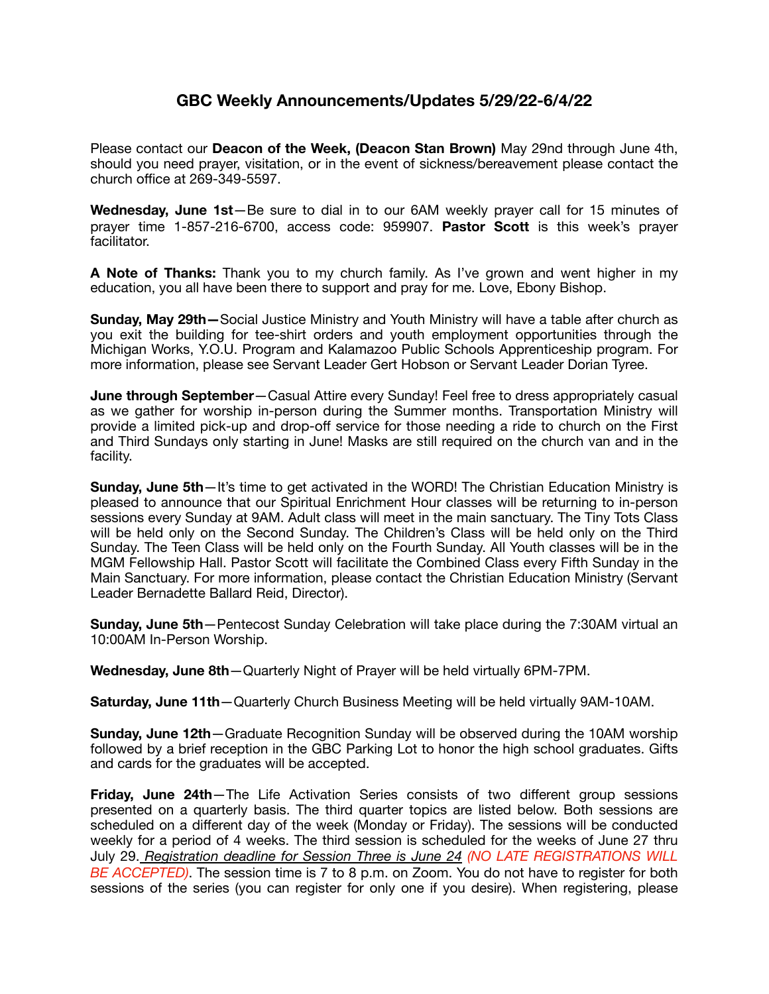## **GBC Weekly Announcements/Updates 5/29/22-6/4/22**

Please contact our **Deacon of the Week, (Deacon Stan Brown)** May 29nd through June 4th, should you need prayer, visitation, or in the event of sickness/bereavement please contact the church office at 269-349-5597.

**Wednesday, June 1st**—Be sure to dial in to our 6AM weekly prayer call for 15 minutes of prayer time 1-857-216-6700, access code: 959907. **Pastor Scott** is this week's prayer facilitator.

**A Note of Thanks:** Thank you to my church family. As I've grown and went higher in my education, you all have been there to support and pray for me. Love, Ebony Bishop.

**Sunday, May 29th—**Social Justice Ministry and Youth Ministry will have a table after church as you exit the building for tee-shirt orders and youth employment opportunities through the Michigan Works, Y.O.U. Program and Kalamazoo Public Schools Apprenticeship program. For more information, please see Servant Leader Gert Hobson or Servant Leader Dorian Tyree.

**June through September**—Casual Attire every Sunday! Feel free to dress appropriately casual as we gather for worship in-person during the Summer months. Transportation Ministry will provide a limited pick-up and drop-off service for those needing a ride to church on the First and Third Sundays only starting in June! Masks are still required on the church van and in the facility.

**Sunday, June 5th**—It's time to get activated in the WORD! The Christian Education Ministry is pleased to announce that our Spiritual Enrichment Hour classes will be returning to in-person sessions every Sunday at 9AM. Adult class will meet in the main sanctuary. The Tiny Tots Class will be held only on the Second Sunday. The Children's Class will be held only on the Third Sunday. The Teen Class will be held only on the Fourth Sunday. All Youth classes will be in the MGM Fellowship Hall. Pastor Scott will facilitate the Combined Class every Fifth Sunday in the Main Sanctuary. For more information, please contact the Christian Education Ministry (Servant Leader Bernadette Ballard Reid, Director).

**Sunday, June 5th**—Pentecost Sunday Celebration will take place during the 7:30AM virtual an 10:00AM In-Person Worship.

**Wednesday, June 8th**—Quarterly Night of Prayer will be held virtually 6PM-7PM.

**Saturday, June 11th**—Quarterly Church Business Meeting will be held virtually 9AM-10AM.

**Sunday, June 12th**—Graduate Recognition Sunday will be observed during the 10AM worship followed by a brief reception in the GBC Parking Lot to honor the high school graduates. Gifts and cards for the graduates will be accepted.

**Friday, June 24th**—The Life Activation Series consists of two different group sessions presented on a quarterly basis. The third quarter topics are listed below. Both sessions are scheduled on a different day of the week (Monday or Friday). The sessions will be conducted weekly for a period of 4 weeks. The third session is scheduled for the weeks of June 27 thru July 29. *Registration deadline for Session Three is June 24 (NO LATE REGISTRATIONS WILL BE ACCEPTED)*. The session time is 7 to 8 p.m. on Zoom. You do not have to register for both sessions of the series (you can register for only one if you desire). When registering, please